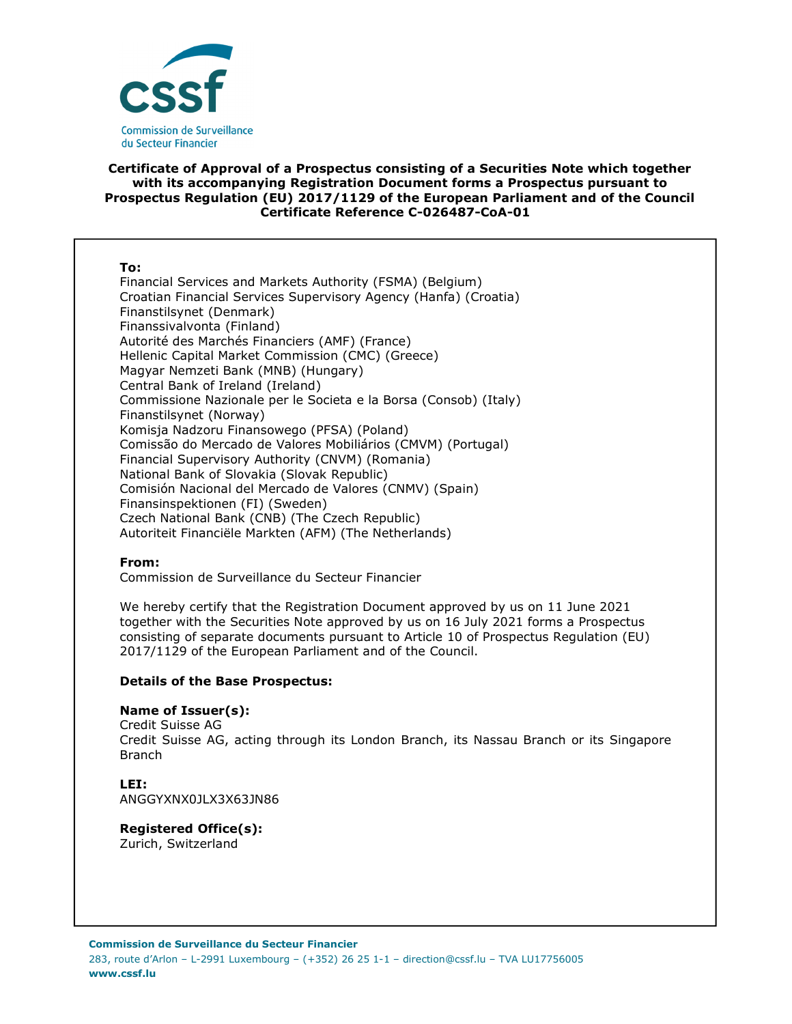

# **Certificate of Approval of a Prospectus consisting of a Securities Note which together with its accompanying Registration Document forms a Prospectus pursuant to Prospectus Regulation (EU) 2017/1129 of the European Parliament and of the Council Certificate Reference C-026487-CoA-01**

#### **To:**

Financial Services and Markets Authority (FSMA) (Belgium) Croatian Financial Services Supervisory Agency (Hanfa) (Croatia) Finanstilsynet (Denmark) Finanssivalvonta (Finland) Autorité des Marchés Financiers (AMF) (France) Hellenic Capital Market Commission (CMC) (Greece) Magyar Nemzeti Bank (MNB) (Hungary) Central Bank of Ireland (Ireland) Commissione Nazionale per le Societa e la Borsa (Consob) (Italy) Finanstilsynet (Norway) Komisja Nadzoru Finansowego (PFSA) (Poland) Comissão do Mercado de Valores Mobiliários (CMVM) (Portugal) Financial Supervisory Authority (CNVM) (Romania) National Bank of Slovakia (Slovak Republic) Comisión Nacional del Mercado de Valores (CNMV) (Spain) Finansinspektionen (FI) (Sweden) Czech National Bank (CNB) (The Czech Republic) Autoriteit Financiële Markten (AFM) (The Netherlands)

#### **From:**

Commission de Surveillance du Secteur Financier

We hereby certify that the Registration Document approved by us on 11 June 2021 together with the Securities Note approved by us on 16 July 2021 forms a Prospectus consisting of separate documents pursuant to Article 10 of Prospectus Regulation (EU) 2017/1129 of the European Parliament and of the Council.

#### **Details of the Base Prospectus:**

#### **Name of Issuer(s):**

Credit Suisse AG Credit Suisse AG, acting through its London Branch, its Nassau Branch or its Singapore Branch

#### **LEI:**

ANGGYXNX0JLX3X63JN86

#### **Registered Office(s):**

Zurich, Switzerland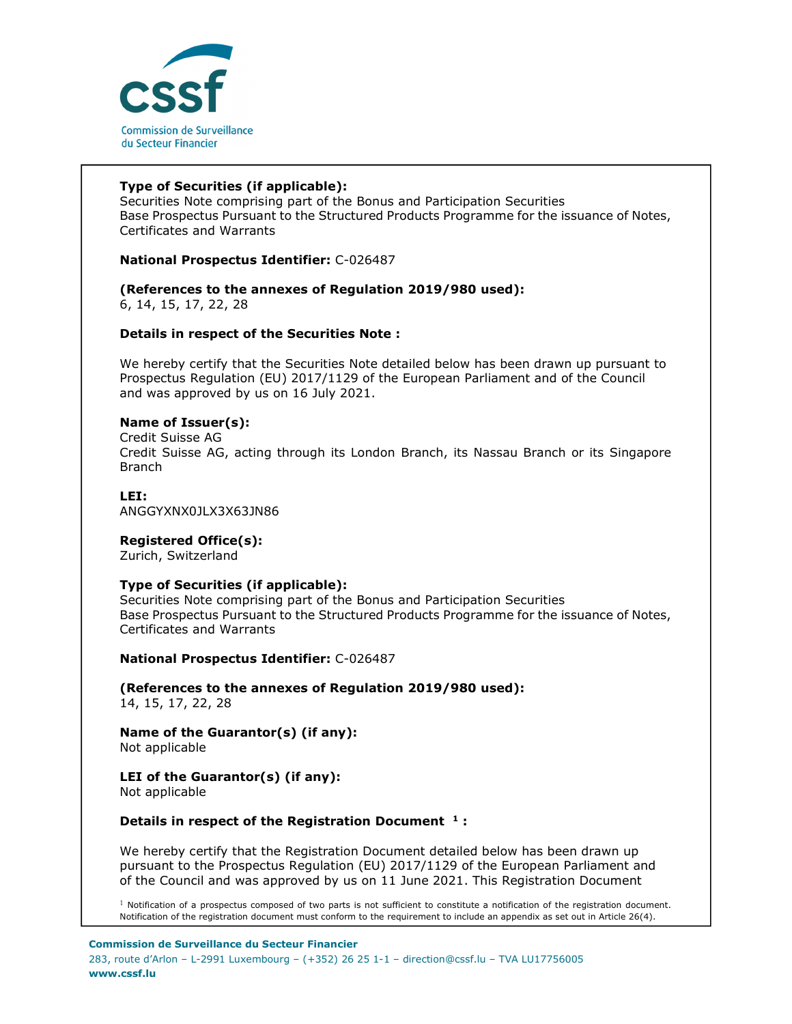

# **Type of Securities (if applicable):**

Securities Note comprising part of the Bonus and Participation Securities Base Prospectus Pursuant to the Structured Products Programme for the issuance of Notes, Certificates and Warrants

# **National Prospectus Identifier:** C-026487

#### **(References to the annexes of Regulation 2019/980 used):**  6, 14, 15, 17, 22, 28

#### **Details in respect of the Securities Note :**

We hereby certify that the Securities Note detailed below has been drawn up pursuant to Prospectus Regulation (EU) 2017/1129 of the European Parliament and of the Council and was approved by us on 16 July 2021.

#### **Name of Issuer(s):**

Credit Suisse AG Credit Suisse AG, acting through its London Branch, its Nassau Branch or its Singapore Branch

#### **LEI:**

ANGGYXNX0JLX3X63JN86

#### **Registered Office(s):**

Zurich, Switzerland

#### **Type of Securities (if applicable):**

Securities Note comprising part of the Bonus and Participation Securities Base Prospectus Pursuant to the Structured Products Programme for the issuance of Notes, Certificates and Warrants

**National Prospectus Identifier:** C-026487

**(References to the annexes of Regulation 2019/980 used):**  14, 15, 17, 22, 28

**Name of the Guarantor(s) (if any):**  Not applicable

# **LEI of the Guarantor(s) (if any):**

Not applicable

# **Details in respect of the Registration Document <sup>1</sup> :**

We hereby certify that the Registration Document detailed below has been drawn up pursuant to the Prospectus Regulation (EU) 2017/1129 of the European Parliament and of the Council and was approved by us on 11 June 2021. This Registration Document

 $1$  Notification of a prospectus composed of two parts is not sufficient to constitute a notification of the registration document. Notification of the registration document must conform to the requirement to include an appendix as set out in Article 26(4).